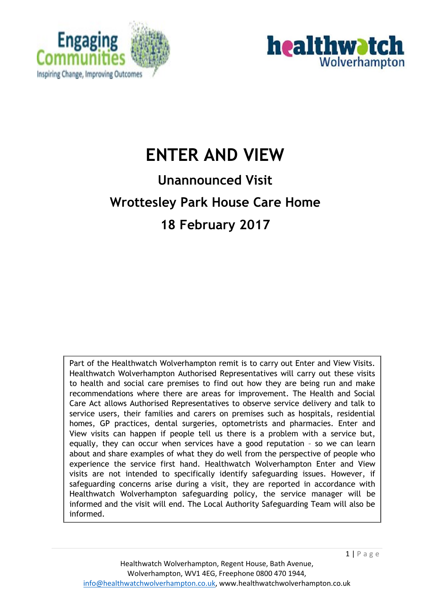



# **ENTER AND VIEW**

# **Unannounced Visit Wrottesley Park House Care Home 18 February 2017**

Part of the Healthwatch Wolverhampton remit is to carry out Enter and View Visits. Healthwatch Wolverhampton Authorised Representatives will carry out these visits to health and social care premises to find out how they are being run and make recommendations where there are areas for improvement. The Health and Social Care Act allows Authorised Representatives to observe service delivery and talk to service users, their families and carers on premises such as hospitals, residential homes, GP practices, dental surgeries, optometrists and pharmacies. Enter and View visits can happen if people tell us there is a problem with a service but, equally, they can occur when services have a good reputation – so we can learn about and share examples of what they do well from the perspective of people who experience the service first hand. Healthwatch Wolverhampton Enter and View visits are not intended to specifically identify safeguarding issues. However, if safeguarding concerns arise during a visit, they are reported in accordance with Healthwatch Wolverhampton safeguarding policy, the service manager will be informed and the visit will end. The Local Authority Safeguarding Team will also be informed.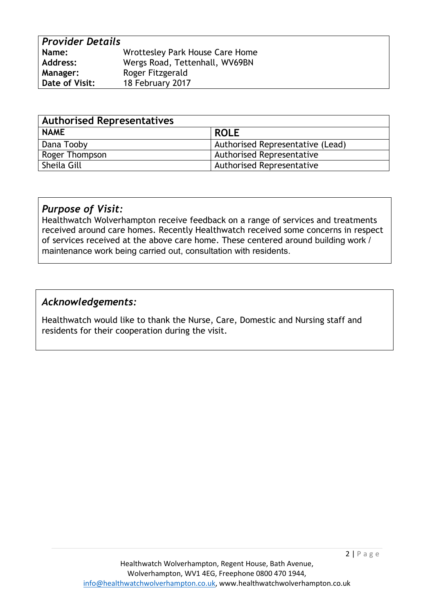| <b>Provider Details</b> |                                 |
|-------------------------|---------------------------------|
| Name:                   | Wrottesley Park House Care Home |
| <b>Address:</b>         | Wergs Road, Tettenhall, WV69BN  |
| <b>Manager:</b>         | Roger Fitzgerald                |
| Date of Visit:          | 18 February 2017                |

| <b>Authorised Representatives</b> |                                  |  |
|-----------------------------------|----------------------------------|--|
| <b>NAME</b>                       | <b>ROLE</b>                      |  |
| Dana Tooby                        | Authorised Representative (Lead) |  |
| Roger Thompson                    | <b>Authorised Representative</b> |  |
| Sheila Gill                       | <b>Authorised Representative</b> |  |

#### *Purpose of Visit:*

Healthwatch Wolverhampton receive feedback on a range of services and treatments received around care homes. Recently Healthwatch received some concerns in respect of services received at the above care home. These centered around building work / maintenance work being carried out, consultation with residents.

#### *Acknowledgements:*

Healthwatch would like to thank the Nurse, Care, Domestic and Nursing staff and residents for their cooperation during the visit.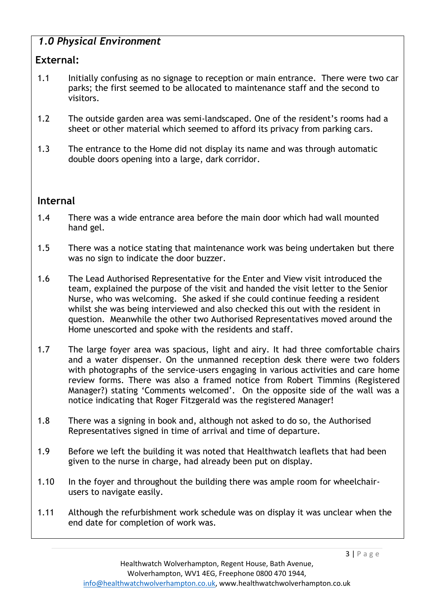# *1.0 Physical Environment*

## **External:**

- 1.1 Initially confusing as no signage to reception or main entrance. There were two car parks; the first seemed to be allocated to maintenance staff and the second to visitors.
- 1.2 The outside garden area was semi-landscaped. One of the resident's rooms had a sheet or other material which seemed to afford its privacy from parking cars.
- 1.3 The entrance to the Home did not display its name and was through automatic double doors opening into a large, dark corridor.

# **Internal**

- 1.4 There was a wide entrance area before the main door which had wall mounted hand gel.
- 1.5 There was a notice stating that maintenance work was being undertaken but there was no sign to indicate the door buzzer.
- 1.6 The Lead Authorised Representative for the Enter and View visit introduced the team, explained the purpose of the visit and handed the visit letter to the Senior Nurse, who was welcoming. She asked if she could continue feeding a resident whilst she was being interviewed and also checked this out with the resident in question. Meanwhile the other two Authorised Representatives moved around the Home unescorted and spoke with the residents and staff.
- 1.7 The large foyer area was spacious, light and airy. It had three comfortable chairs and a water dispenser. On the unmanned reception desk there were two folders with photographs of the service-users engaging in various activities and care home review forms. There was also a framed notice from Robert Timmins (Registered Manager?) stating 'Comments welcomed'. On the opposite side of the wall was a notice indicating that Roger Fitzgerald was the registered Manager!
- 1.8 There was a signing in book and, although not asked to do so, the Authorised Representatives signed in time of arrival and time of departure.
- 1.9 Before we left the building it was noted that Healthwatch leaflets that had been given to the nurse in charge, had already been put on display.
- 1.10 In the foyer and throughout the building there was ample room for wheelchairusers to navigate easily.
- 1.11 Although the refurbishment work schedule was on display it was unclear when the end date for completion of work was.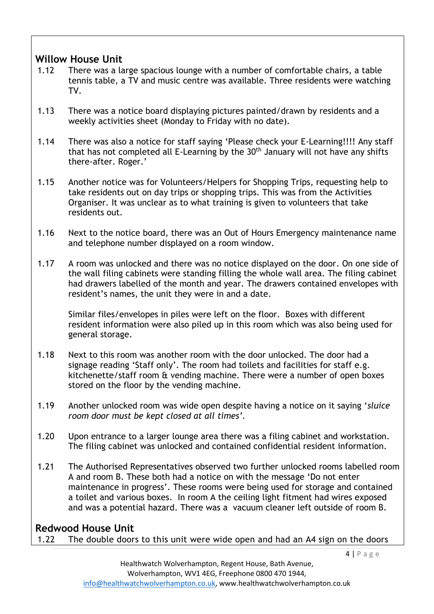## **Willow House Unit**

- 1.12 There was a large spacious lounge with a number of comfortable chairs, a table tennis table, a TV and music centre was available. Three residents were watching TV.
- 1.13 There was a notice board displaying pictures painted/drawn by residents and a weekly activities sheet (Monday to Friday with no date).
- 1.14 There was also a notice for staff saying 'Please check your E-Learning!!!! Any staff that has not completed all E-Learning by the 30<sup>th</sup> January will not have any shifts there-after. Roger.'
- 1.15 Another notice was for Volunteers/Helpers for Shopping Trips, requesting help to take residents out on day trips or shopping trips. This was from the Activities Organiser. It was unclear as to what training is given to volunteers that take residents out.
- 1.16 Next to the notice board, there was an Out of Hours Emergency maintenance name and telephone number displayed on a room window.
- 1.17 A room was unlocked and there was no notice displayed on the door. On one side of the wall filing cabinets were standing filling the whole wall area. The filing cabinet had drawers labelled of the month and year. The drawers contained envelopes with resident's names, the unit they were in and a date.

Similar files/envelopes in piles were left on the floor. Boxes with different resident information were also piled up in this room which was also being used for general storage.

- 1.18 Next to this room was another room with the door unlocked. The door had a signage reading 'Staff only'. The room had toilets and facilities for staff e.g. kitchenette/staff room & vending machine. There were a number of open boxes stored on the floor by the vending machine.
- 1.19 Another unlocked room was wide open despite having a notice on it saying '*sluice room door must be kept closed at all times'.*
- 1.20 Upon entrance to a larger lounge area there was a filing cabinet and workstation. The filing cabinet was unlocked and contained confidential resident information.
- 1.21 The Authorised Representatives observed two further unlocked rooms labelled room A and room B. These both had a notice on with the message 'Do not enter maintenance in progress'. These rooms were being used for storage and contained a toilet and various boxes. In room A the ceiling light fitment had wires exposed and was a potential hazard. There was a vacuum cleaner left outside of room B.

### **Redwood House Unit**

1.22 The double doors to this unit were wide open and had an A4 sign on the doors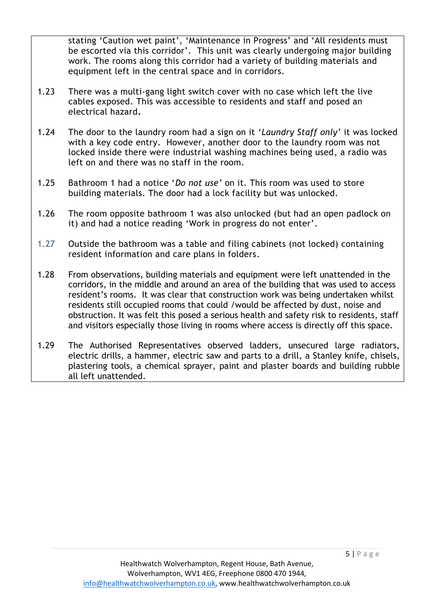stating 'Caution wet paint', 'Maintenance in Progress' and 'All residents must be escorted via this corridor'. This unit was clearly undergoing major building work. The rooms along this corridor had a variety of building materials and equipment left in the central space and in corridors.

- 1.23 There was a multi-gang light switch cover with no case which left the live cables exposed. This was accessible to residents and staff and posed an electrical hazard**.**
- 1.24 The door to the laundry room had a sign on it '*Laundry Staff only'* it was locked with a key code entry. However, another door to the laundry room was not locked inside there were industrial washing machines being used, a radio was left on and there was no staff in the room.
- 1.25 Bathroom 1 had a notice '*Do not use'* on it. This room was used to store building materials. The door had a lock facility but was unlocked.
- 1.26 The room opposite bathroom 1 was also unlocked (but had an open padlock on it) and had a notice reading 'Work in progress do not enter'.
- 1.27 Outside the bathroom was a table and filing cabinets (not locked) containing resident information and care plans in folders.
- 1.28 From observations, building materials and equipment were left unattended in the corridors, in the middle and around an area of the building that was used to access resident's rooms. It was clear that construction work was being undertaken whilst residents still occupied rooms that could /would be affected by dust, noise and obstruction. It was felt this posed a serious health and safety risk to residents, staff and visitors especially those living in rooms where access is directly off this space.
- 1.29 The Authorised Representatives observed ladders, unsecured large radiators, electric drills, a hammer, electric saw and parts to a drill, a Stanley knife, chisels, plastering tools, a chemical sprayer, paint and plaster boards and building rubble all left unattended.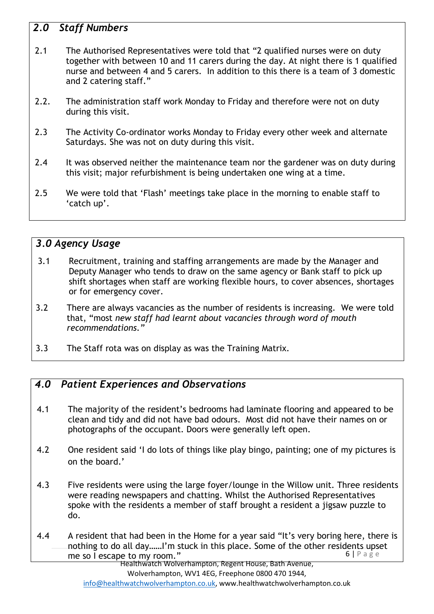# *2.0 Staff Numbers*

- 2.1 The Authorised Representatives were told that "2 qualified nurses were on duty together with between 10 and 11 carers during the day. At night there is 1 qualified nurse and between 4 and 5 carers. In addition to this there is a team of 3 domestic and 2 catering staff."
- 2.2. The administration staff work Monday to Friday and therefore were not on duty during this visit.
- 2.3 The Activity Co-ordinator works Monday to Friday every other week and alternate Saturdays. She was not on duty during this visit.
- 2.4 It was observed neither the maintenance team nor the gardener was on duty during this visit; major refurbishment is being undertaken one wing at a time.
- 2.5 We were told that 'Flash' meetings take place in the morning to enable staff to 'catch up'.

### *3.0 Agency Usage*

- 3.1 Recruitment, training and staffing arrangements are made by the Manager and Deputy Manager who tends to draw on the same agency or Bank staff to pick up shift shortages when staff are working flexible hours, to cover absences, shortages or for emergency cover.
- 3.2 There are always vacancies as the number of residents is increasing. We were told that, "most *new staff had learnt about vacancies through word of mouth recommendations."*
- 3.3 The Staff rota was on display as was the Training Matrix.

#### *4.0 Patient Experiences and Observations*

- 4.1 The majority of the resident's bedrooms had laminate flooring and appeared to be clean and tidy and did not have bad odours. Most did not have their names on or photographs of the occupant. Doors were generally left open.
- 4.2 One resident said 'I do lots of things like play bingo, painting; one of my pictures is on the board.'
- 4.3 Five residents were using the large foyer/lounge in the Willow unit. Three residents were reading newspapers and chatting. Whilst the Authorised Representatives spoke with the residents a member of staff brought a resident a jigsaw puzzle to do.
- $6$  | P a g e 4.4 A resident that had been in the Home for a year said "It's very boring here, there is nothing to do all day……I'm stuck in this place. Some of the other residents upset me so I escape to my room."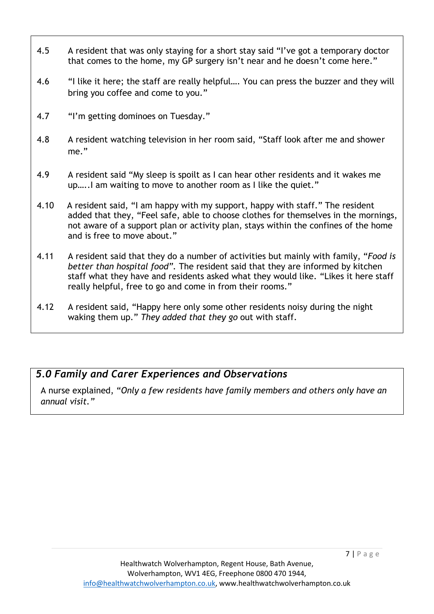- 4.5 A resident that was only staying for a short stay said "I've got a temporary doctor that comes to the home, my GP surgery isn't near and he doesn't come here."
- 4.6 "I like it here; the staff are really helpful.... You can press the buzzer and they will bring you coffee and come to you."
- 4.7 "I'm getting dominoes on Tuesday."
- 4.8 A resident watching television in her room said, "Staff look after me and shower me."
- 4.9 A resident said "My sleep is spoilt as I can hear other residents and it wakes me up…..I am waiting to move to another room as I like the quiet."
- 4.10 A resident said, "I am happy with my support, happy with staff." The resident added that they, "Feel safe, able to choose clothes for themselves in the mornings, not aware of a support plan or activity plan, stays within the confines of the home and is free to move about."
- 4.11 A resident said that they do a number of activities but mainly with family, "*Food is better than hospital food".* The resident said that they are informed by kitchen staff what they have and residents asked what they would like. "Likes it here staff really helpful, free to go and come in from their rooms."
- 4.12 A resident said, "Happy here only some other residents noisy during the night waking them up." *They added that they go* out with staff.

## *5.0 Family and Carer Experiences and Observations*

A nurse explained, "*Only a few residents have family members and others only have an annual visit."*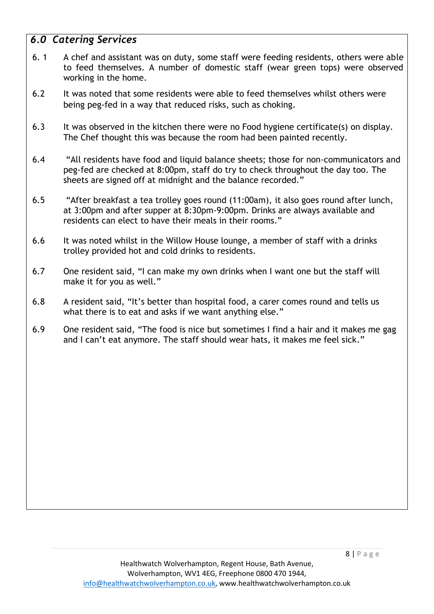## *6.0 Catering Services*

- 6. 1 A chef and assistant was on duty, some staff were feeding residents, others were able to feed themselves. A number of domestic staff (wear green tops) were observed working in the home.
- 6.2 It was noted that some residents were able to feed themselves whilst others were being peg-fed in a way that reduced risks, such as choking.
- 6.3 It was observed in the kitchen there were no Food hygiene certificate(s) on display. The Chef thought this was because the room had been painted recently.
- 6.4 "All residents have food and liquid balance sheets; those for non-communicators and peg-fed are checked at 8:00pm, staff do try to check throughout the day too. The sheets are signed off at midnight and the balance recorded."
- 6.5 "After breakfast a tea trolley goes round (11:00am), it also goes round after lunch, at 3:00pm and after supper at 8:30pm-9:00pm. Drinks are always available and residents can elect to have their meals in their rooms."
- 6.6 It was noted whilst in the Willow House lounge, a member of staff with a drinks trolley provided hot and cold drinks to residents.
- 6.7 One resident said, "I can make my own drinks when I want one but the staff will make it for you as well."
- 6.8 A resident said, "It's better than hospital food, a carer comes round and tells us what there is to eat and asks if we want anything else."
- 6.9 One resident said, "The food is nice but sometimes I find a hair and it makes me gag and I can't eat anymore. The staff should wear hats, it makes me feel sick."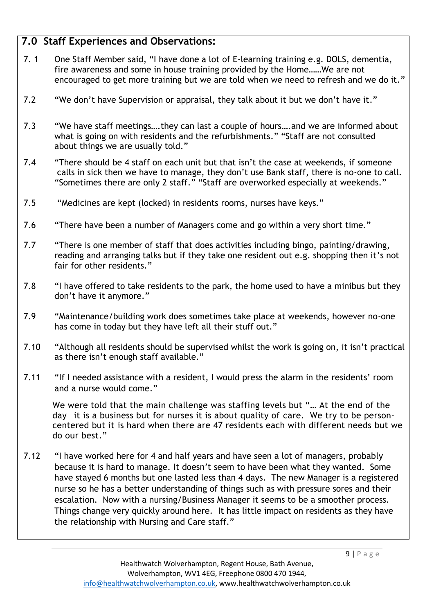## **7.0 Staff Experiences and Observations:**

- 7. 1 One Staff Member said, "I have done a lot of E-learning training e.g. DOLS, dementia, fire awareness and some in house training provided by the Home……We are not encouraged to get more training but we are told when we need to refresh and we do it."
- 7.2 "We don't have Supervision or appraisal, they talk about it but we don't have it."
- 7.3 "We have staff meetings….they can last a couple of hours….and we are informed about what is going on with residents and the refurbishments." "Staff are not consulted about things we are usually told."
- 7.4 "There should be 4 staff on each unit but that isn't the case at weekends, if someone calls in sick then we have to manage, they don't use Bank staff, there is no-one to call. "Sometimes there are only 2 staff." "Staff are overworked especially at weekends."
- 7.5 "Medicines are kept (locked) in residents rooms, nurses have keys."
- 7.6 "There have been a number of Managers come and go within a very short time."
- 7.7 "There is one member of staff that does activities including bingo, painting/drawing, reading and arranging talks but if they take one resident out e.g. shopping then it's not fair for other residents."
- 7.8 "I have offered to take residents to the park, the home used to have a minibus but they don't have it anymore."
- 7.9 "Maintenance/building work does sometimes take place at weekends, however no-one has come in today but they have left all their stuff out."
- 7.10 "Although all residents should be supervised whilst the work is going on, it isn't practical as there isn't enough staff available."
- 7.11 "If I needed assistance with a resident, I would press the alarm in the residents' room and a nurse would come."

We were told that the main challenge was staffing levels but "… At the end of the day it is a business but for nurses it is about quality of care. We try to be personcentered but it is hard when there are 47 residents each with different needs but we do our best."

7.12 "I have worked here for 4 and half years and have seen a lot of managers, probably because it is hard to manage. It doesn't seem to have been what they wanted. Some have stayed 6 months but one lasted less than 4 days. The new Manager is a registered nurse so he has a better understanding of things such as with pressure sores and their escalation. Now with a nursing/Business Manager it seems to be a smoother process. Things change very quickly around here. It has little impact on residents as they have the relationship with Nursing and Care staff."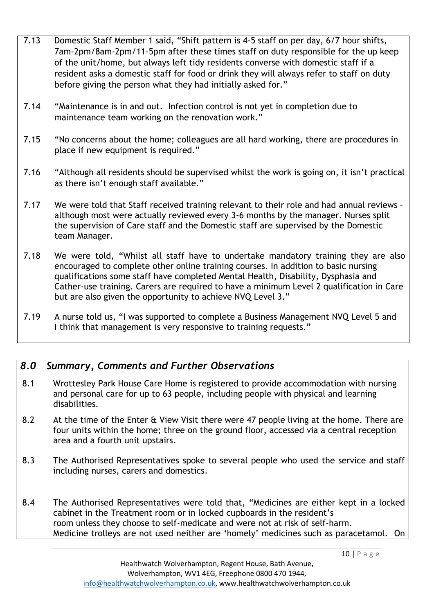- 7.13 Domestic Staff Member 1 said, "Shift pattern is 4-5 staff on per day, 6/7 hour shifts, 7am-2pm/8am-2pm/11-5pm after these times staff on duty responsible for the up keep of the unit/home, but always left tidy residents converse with domestic staff if a resident asks a domestic staff for food or drink they will always refer to staff on duty before giving the person what they had initially asked for."
- 7.14 "Maintenance is in and out. Infection control is not yet in completion due to maintenance team working on the renovation work."
- 7.15 "No concerns about the home; colleagues are all hard working, there are procedures in place if new equipment is required."
- 7.16 "Although all residents should be supervised whilst the work is going on, it isn't practical as there isn't enough staff available."
- 7.17 We were told that Staff received training relevant to their role and had annual reviews although most were actually reviewed every 3-6 months by the manager. Nurses split the supervision of Care staff and the Domestic staff are supervised by the Domestic team Manager.
- 7.18 We were told, "Whilst all staff have to undertake mandatory training they are also encouraged to complete other online training courses. In addition to basic nursing qualifications some staff have completed Mental Health, Disability, Dysphasia and Cather-use training. Carers are required to have a minimum Level 2 qualification in Care but are also given the opportunity to achieve NVQ Level 3."
- 7.19 A nurse told us, "I was supported to complete a Business Management NVQ Level 5 and I think that management is very responsive to training requests."

### *8.0 Summary, Comments and Further Observations*

- 8.1 Wrottesley Park House Care Home is registered to provide accommodation with nursing and personal care for up to 63 people, including people with physical and learning disabilities.
- 8.2 At the time of the Enter & View Visit there were 47 people living at the home. There are four units within the home; three on the ground floor, accessed via a central reception area and a fourth unit upstairs.
- 8.3 The Authorised Representatives spoke to several people who used the service and staff including nurses, carers and domestics.
- 8.4 The Authorised Representatives were told that, "Medicines are either kept in a locked cabinet in the Treatment room or in locked cupboards in the resident's room unless they choose to self-medicate and were not at risk of self-harm. Medicine trolleys are not used neither are 'homely' medicines such as paracetamol. On

10 | P a g e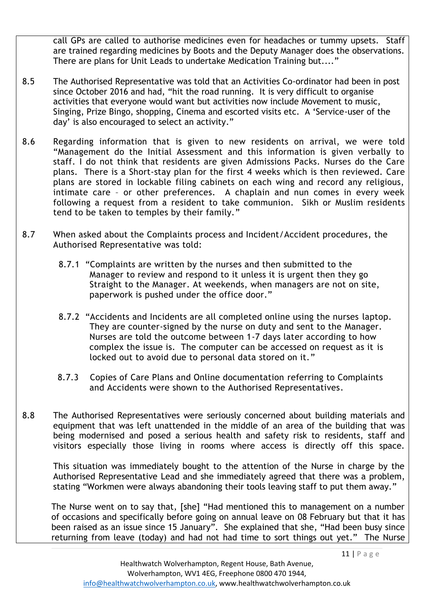call GPs are called to authorise medicines even for headaches or tummy upsets. Staff are trained regarding medicines by Boots and the Deputy Manager does the observations. There are plans for Unit Leads to undertake Medication Training but...."

- 8.5 The Authorised Representative was told that an Activities Co-ordinator had been in post since October 2016 and had, "hit the road running. It is very difficult to organise activities that everyone would want but activities now include Movement to music, Singing, Prize Bingo, shopping, Cinema and escorted visits etc. A 'Service-user of the day' is also encouraged to select an activity."
- 8.6 Regarding information that is given to new residents on arrival, we were told "Management do the Initial Assessment and this information is given verbally to staff. I do not think that residents are given Admissions Packs. Nurses do the Care plans. There is a Short-stay plan for the first 4 weeks which is then reviewed. Care plans are stored in lockable filing cabinets on each wing and record any religious, intimate care – or other preferences. A chaplain and nun comes in every week following a request from a resident to take communion. Sikh or Muslim residents tend to be taken to temples by their family."
- 8.7 When asked about the Complaints process and Incident/Accident procedures, the Authorised Representative was told:
	- 8.7.1 "Complaints are written by the nurses and then submitted to the Manager to review and respond to it unless it is urgent then they go Straight to the Manager. At weekends, when managers are not on site, paperwork is pushed under the office door."
	- 8.7.2 "Accidents and Incidents are all completed online using the nurses laptop. They are counter-signed by the nurse on duty and sent to the Manager. Nurses are told the outcome between 1-7 days later according to how complex the issue is. The computer can be accessed on request as it is locked out to avoid due to personal data stored on it."
	- 8.7.3 Copies of Care Plans and Online documentation referring to Complaints and Accidents were shown to the Authorised Representatives.
- 8.8 The Authorised Representatives were seriously concerned about building materials and equipment that was left unattended in the middle of an area of the building that was being modernised and posed a serious health and safety risk to residents, staff and visitors especially those living in rooms where access is directly off this space.

This situation was immediately bought to the attention of the Nurse in charge by the Authorised Representative Lead and she immediately agreed that there was a problem, stating "Workmen were always abandoning their tools leaving staff to put them away."

The Nurse went on to say that, [she] "Had mentioned this to management on a number of occasions and specifically before going on annual leave on 08 February but that it has been raised as an issue since 15 January". She explained that she, "Had been busy since returning from leave (today) and had not had time to sort things out yet." The Nurse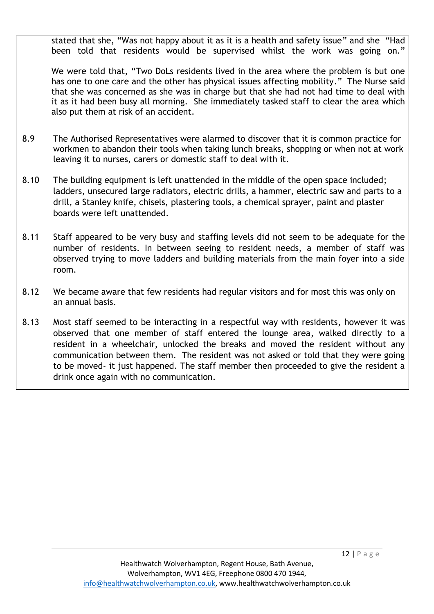stated that she, "Was not happy about it as it is a health and safety issue" and she "Had been told that residents would be supervised whilst the work was going on."

We were told that, "Two DoLs residents lived in the area where the problem is but one has one to one care and the other has physical issues affecting mobility." The Nurse said that she was concerned as she was in charge but that she had not had time to deal with it as it had been busy all morning. She immediately tasked staff to clear the area which also put them at risk of an accident.

- 8.9 The Authorised Representatives were alarmed to discover that it is common practice for workmen to abandon their tools when taking lunch breaks, shopping or when not at work leaving it to nurses, carers or domestic staff to deal with it.
- 8.10 The building equipment is left unattended in the middle of the open space included; ladders, unsecured large radiators, electric drills, a hammer, electric saw and parts to a drill, a Stanley knife, chisels, plastering tools, a chemical sprayer, paint and plaster boards were left unattended.
- 8.11 Staff appeared to be very busy and staffing levels did not seem to be adequate for the number of residents. In between seeing to resident needs, a member of staff was observed trying to move ladders and building materials from the main foyer into a side room.
- 8.12 We became aware that few residents had regular visitors and for most this was only on an annual basis.
- 8.13 Most staff seemed to be interacting in a respectful way with residents, however it was observed that one member of staff entered the lounge area, walked directly to a resident in a wheelchair, unlocked the breaks and moved the resident without any communication between them. The resident was not asked or told that they were going to be moved- it just happened. The staff member then proceeded to give the resident a drink once again with no communication.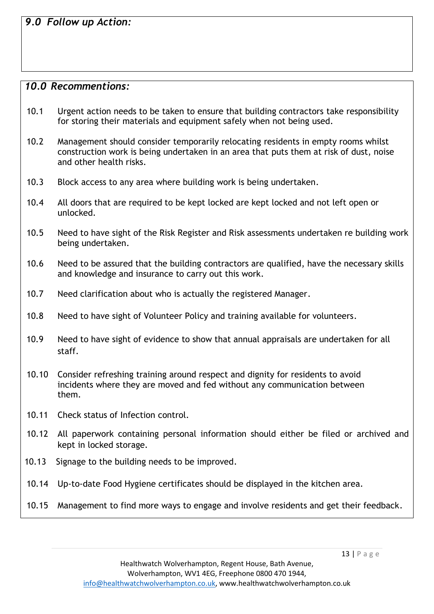*9.0 Follow up Action:*

#### *10.0 Recommentions:*

- 10.1 Urgent action needs to be taken to ensure that building contractors take responsibility for storing their materials and equipment safely when not being used.
- 10.2 Management should consider temporarily relocating residents in empty rooms whilst construction work is being undertaken in an area that puts them at risk of dust, noise and other health risks.
- 10.3 Block access to any area where building work is being undertaken.
- 10.4 All doors that are required to be kept locked are kept locked and not left open or unlocked.
- 10.5 Need to have sight of the Risk Register and Risk assessments undertaken re building work being undertaken.
- 10.6 Need to be assured that the building contractors are qualified, have the necessary skills and knowledge and insurance to carry out this work.
- 10.7 Need clarification about who is actually the registered Manager.
- 10.8 Need to have sight of Volunteer Policy and training available for volunteers.
- 10.9 Need to have sight of evidence to show that annual appraisals are undertaken for all staff.
- 10.10 Consider refreshing training around respect and dignity for residents to avoid incidents where they are moved and fed without any communication between them.
- 10.11 Check status of Infection control.
- 10.12 All paperwork containing personal information should either be filed or archived and kept in locked storage.
- 10.13 Signage to the building needs to be improved.
- 10.14 Up-to-date Food Hygiene certificates should be displayed in the kitchen area.
- 10.15 Management to find more ways to engage and involve residents and get their feedback.